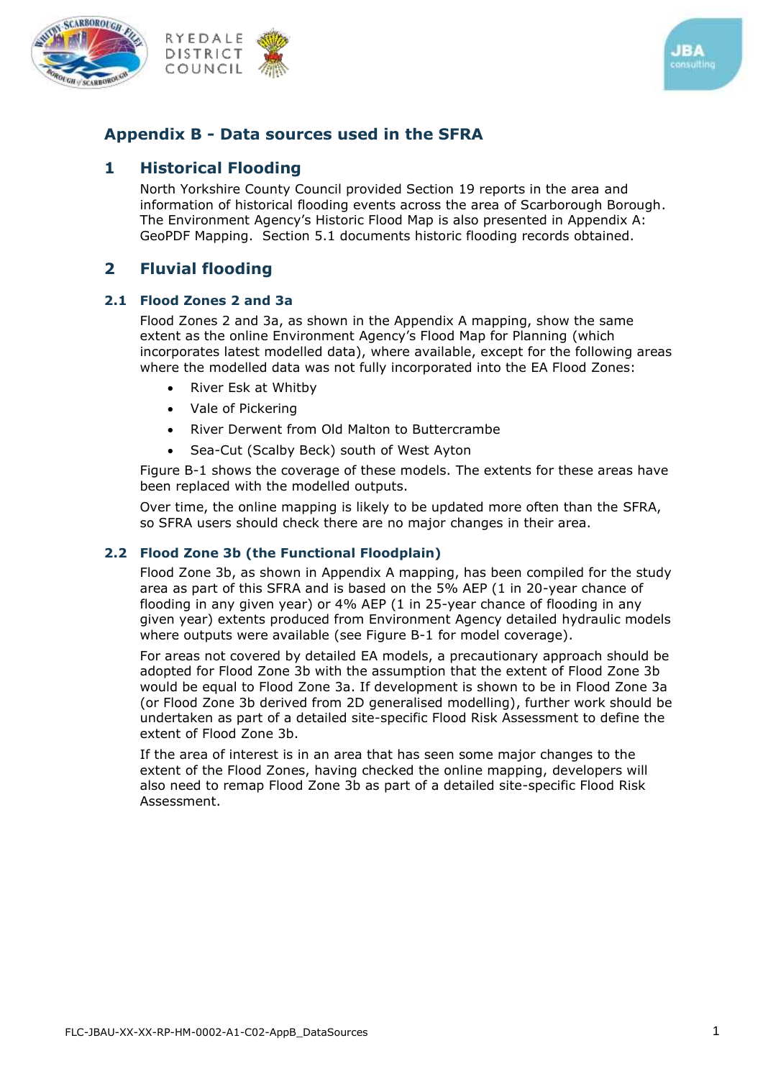





## **Appendix B - Data sources used in the SFRA**

#### **1 Historical Flooding**

North Yorkshire County Council provided Section 19 reports in the area and information of historical flooding events across the area of Scarborough Borough. The Environment Agency's Historic Flood Map is also presented in Appendix A: GeoPDF Mapping. Section 5.1 documents historic flooding records obtained.

#### **2 Fluvial flooding**

#### **2.1 Flood Zones 2 and 3a**

Flood Zones 2 and 3a, as shown in the Appendix A mapping, show the same extent as the online [Environment Agency's Flood Map for Planning](https://flood-map-for-planning.service.gov.uk/) (which incorporates latest modelled data), where available, except for the following areas where the modelled data was not fully incorporated into the EA Flood Zones:

- River Esk at Whitby
- Vale of Pickering
- River Derwent from Old Malton to Buttercrambe
- Sea-Cut (Scalby Beck) south of West Ayton

Figure B-1 shows the coverage of these models. The extents for these areas have been replaced with the modelled outputs.

Over time, the online mapping is likely to be updated more often than the SFRA, so SFRA users should check there are no major changes in their area.

#### **2.2 Flood Zone 3b (the Functional Floodplain)**

Flood Zone 3b, as shown in Appendix A mapping, has been compiled for the study area as part of this SFRA and is based on the 5% AEP (1 in 20-year chance of flooding in any given year) or 4% AEP (1 in 25-year chance of flooding in any given year) extents produced from Environment Agency detailed hydraulic models where outputs were available (see Figure B-1 for model coverage).

For areas not covered by detailed EA models, a precautionary approach should be adopted for Flood Zone 3b with the assumption that the extent of Flood Zone 3b would be equal to Flood Zone 3a. If development is shown to be in Flood Zone 3a (or Flood Zone 3b derived from 2D generalised modelling), further work should be undertaken as part of a detailed site-specific Flood Risk Assessment to define the extent of Flood Zone 3b.

If the area of interest is in an area that has seen some major changes to the extent of the Flood Zones, having checked the online mapping, developers will also need to remap Flood Zone 3b as part of a detailed site-specific Flood Risk Assessment.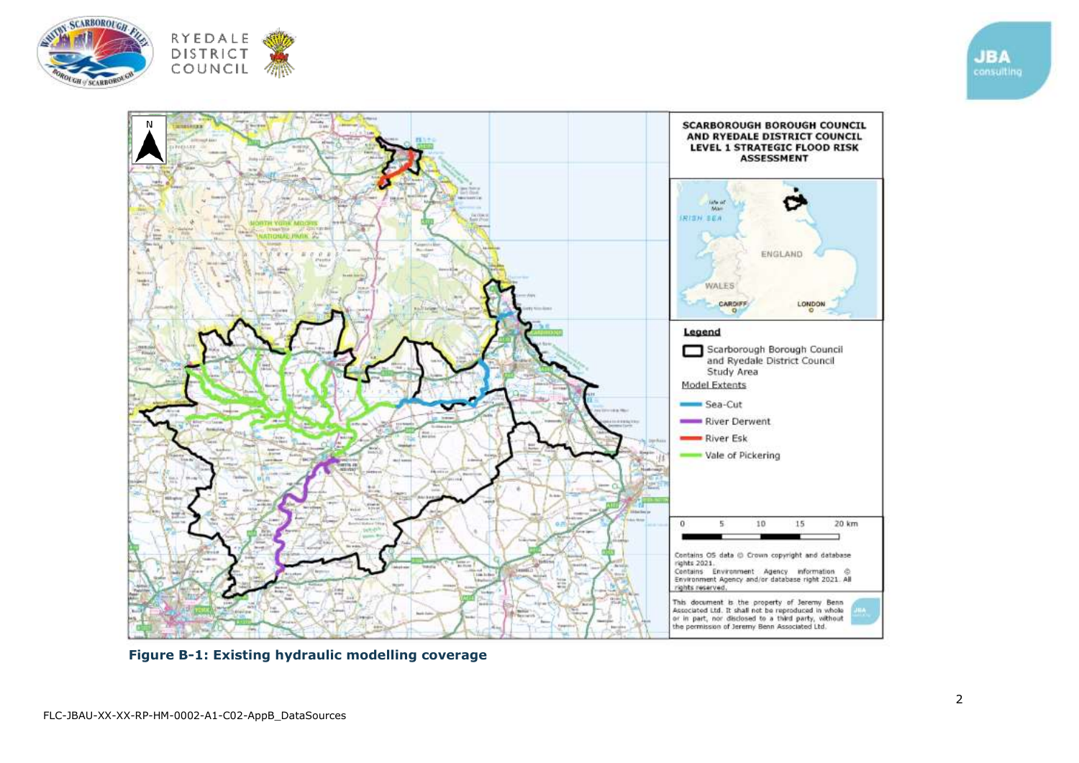





**Figure B-1: Existing hydraulic modelling coverage**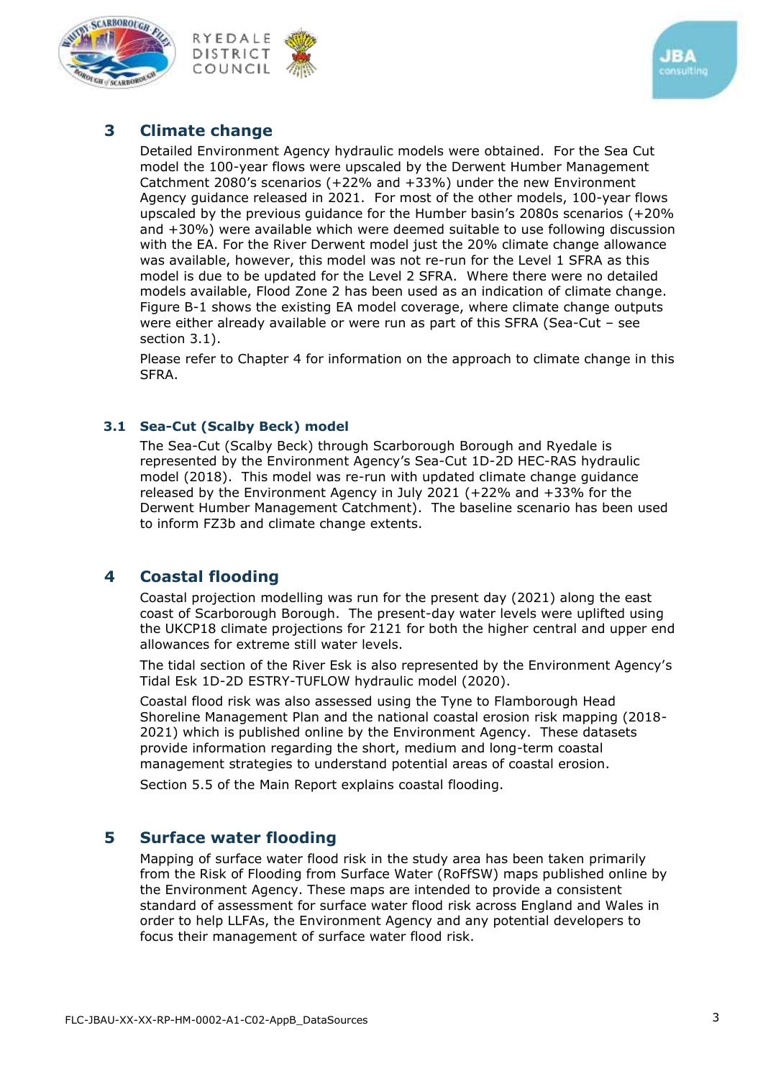





# **3 Climate change**

Detailed Environment Agency hydraulic models were obtained. For the Sea Cut model the 100-year flows were upscaled by the Derwent Humber Management Catchment 2080's scenarios (+22% and +33%) under the new Environment Agency guidance released in 2021. For most of the other models, 100-year flows upscaled by the previous guidance for the Humber basin's 2080s scenarios (+20% and +30%) were available which were deemed suitable to use following discussion with the EA. For the River Derwent model just the 20% climate change allowance was available, however, this model was not re-run for the Level 1 SFRA as this model is due to be updated for the Level 2 SFRA. Where there were no detailed models available, Flood Zone 2 has been used as an indication of climate change. Figure B-1 shows the existing EA model coverage, where climate change outputs were either already available or were run as part of this SFRA (Sea-Cut – see section [3.1\)](#page-2-0).

Please refer to Chapter 4 for information on the approach to climate change in this SFRA.

#### <span id="page-2-0"></span>**3.1 Sea-Cut (Scalby Beck) model**

The Sea-Cut (Scalby Beck) through Scarborough Borough and Ryedale is represented by the Environment Agency's Sea-Cut 1D-2D HEC-RAS hydraulic model (2018). This model was re-run with updated climate change guidance released by the Environment Agency in July 2021 (+22% and +33% for the Derwent Humber Management Catchment). The baseline scenario has been used to inform FZ3b and climate change extents.

# **4 Coastal flooding**

Coastal projection modelling was run for the present day (2021) along the east coast of Scarborough Borough. The present-day water levels were uplifted using the UKCP18 climate projections for 2121 for both the higher central and upper end allowances for extreme still water levels.

The tidal section of the River Esk is also represented by the Environment Agency's Tidal Esk 1D-2D ESTRY-TUFLOW hydraulic model (2020).

Coastal flood risk was also assessed using the Tyne to Flamborough Head Shoreline Management Plan and the national coastal erosion risk mapping (2018- 2021) which is published online by the Environment Agency. These datasets provide information regarding the short, medium and long-term coastal management strategies to understand potential areas of coastal erosion.

Section 5.5 of the Main Report explains coastal flooding.

## **5 Surface water flooding**

Mapping of surface water flood risk in the study area has been taken primarily from the Risk of Flooding from Surface Water (RoFfSW) maps published online by the Environment Agency. These maps are intended to provide a consistent standard of assessment for surface water flood risk across England and Wales in order to help LLFAs, the Environment Agency and any potential developers to focus their management of surface water flood risk.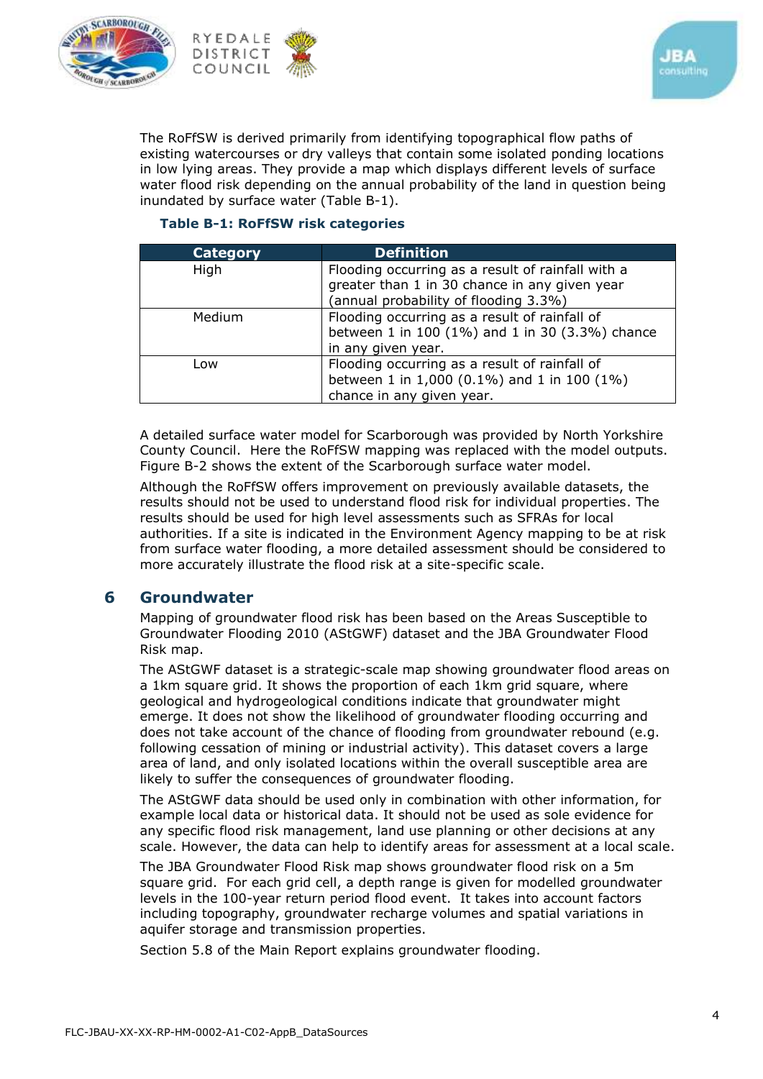





The RoFfSW is derived primarily from identifying topographical flow paths of existing watercourses or dry valleys that contain some isolated ponding locations in low lying areas. They provide a map which displays different levels of surface water flood risk depending on the annual probability of the land in question being inundated by surface water (Table B-1).

#### **Table B-1: RoFfSW risk categories**

| <b>Category</b> | <b>Definition</b>                                 |  |
|-----------------|---------------------------------------------------|--|
| High            | Flooding occurring as a result of rainfall with a |  |
|                 | greater than 1 in 30 chance in any given year     |  |
|                 | (annual probability of flooding 3.3%)             |  |
| <b>Medium</b>   | Flooding occurring as a result of rainfall of     |  |
|                 | between 1 in 100 (1%) and 1 in 30 (3.3%) chance   |  |
|                 | in any given year.                                |  |
| Low             | Flooding occurring as a result of rainfall of     |  |
|                 | between 1 in 1,000 (0.1%) and 1 in 100 (1%)       |  |
|                 | chance in any given year.                         |  |

A detailed surface water model for Scarborough was provided by North Yorkshire County Council. Here the RoFfSW mapping was replaced with the model outputs. Figure B-2 shows the extent of the Scarborough surface water model.

Although the RoFfSW offers improvement on previously available datasets, the results should not be used to understand flood risk for individual properties. The results should be used for high level assessments such as SFRAs for local authorities. If a site is indicated in the Environment Agency mapping to be at risk from surface water flooding, a more detailed assessment should be considered to more accurately illustrate the flood risk at a site-specific scale.

#### **6 Groundwater**

Mapping of groundwater flood risk has been based on the Areas Susceptible to Groundwater Flooding 2010 (AStGWF) dataset and the JBA Groundwater Flood Risk map.

The AStGWF dataset is a strategic-scale map showing groundwater flood areas on a 1km square grid. It shows the proportion of each 1km grid square, where geological and hydrogeological conditions indicate that groundwater might emerge. It does not show the likelihood of groundwater flooding occurring and does not take account of the chance of flooding from groundwater rebound (e.g. following cessation of mining or industrial activity). This dataset covers a large area of land, and only isolated locations within the overall susceptible area are likely to suffer the consequences of groundwater flooding.

The AStGWF data should be used only in combination with other information, for example local data or historical data. It should not be used as sole evidence for any specific flood risk management, land use planning or other decisions at any scale. However, the data can help to identify areas for assessment at a local scale.

The JBA Groundwater Flood Risk map shows groundwater flood risk on a 5m square grid. For each grid cell, a depth range is given for modelled groundwater levels in the 100-year return period flood event. It takes into account factors including topography, groundwater recharge volumes and spatial variations in aquifer storage and transmission properties.

Section 5.8 of the Main Report explains groundwater flooding.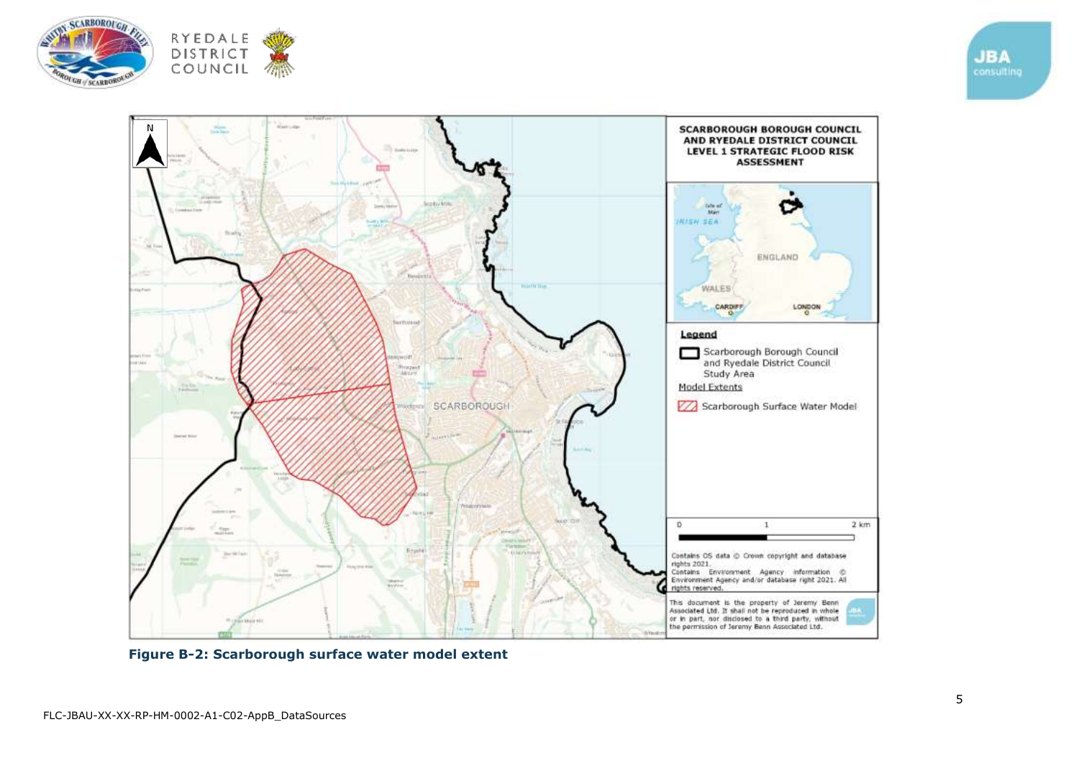





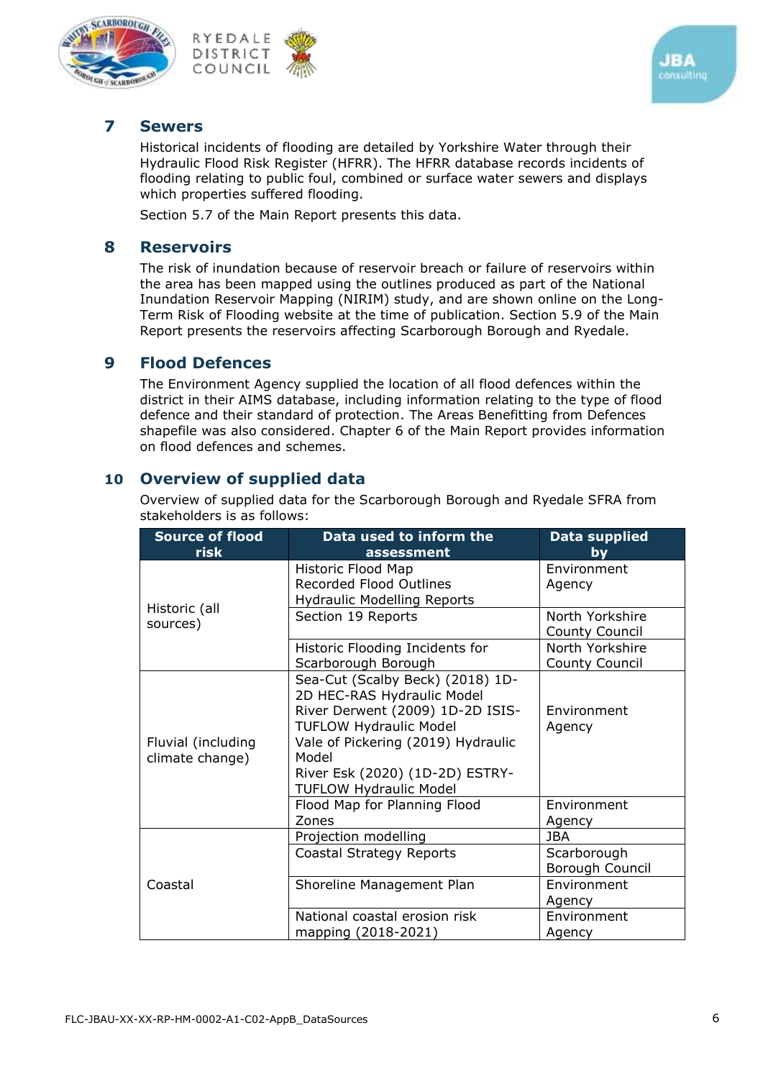





#### **7 Sewers**

Historical incidents of flooding are detailed by Yorkshire Water through their Hydraulic Flood Risk Register (HFRR). The HFRR database records incidents of flooding relating to public foul, combined or surface water sewers and displays which properties suffered flooding.

Section 5.7 of the Main Report presents this data.

#### **8 Reservoirs**

The risk of inundation because of reservoir breach or failure of reservoirs within the area has been mapped using the outlines produced as part of the National Inundation Reservoir Mapping (NIRIM) study, and are shown online on the [Long-](ps://flood-warning-information.service.gov.uk/long-term-flood-risk/map)[Term Risk of Flooding website](ps://flood-warning-information.service.gov.uk/long-term-flood-risk/map) at the time of publication. Section 5.9 of the Main Report presents the reservoirs affecting Scarborough Borough and Ryedale.

## **9 Flood Defences**

The Environment Agency supplied the location of all flood defences within the district in their AIMS database, including information relating to the type of flood defence and their standard of protection. The Areas Benefitting from Defences shapefile was also considered. Chapter 6 of the Main Report provides information on flood defences and schemes.

## **10 Overview of supplied data**

Overview of supplied data for the Scarborough Borough and Ryedale SFRA from stakeholders is as follows:

| <b>Source of flood</b><br>risk        | Data used to inform the<br>assessment                                                                                                                                                                                                                  | <b>Data supplied</b><br>bv               |
|---------------------------------------|--------------------------------------------------------------------------------------------------------------------------------------------------------------------------------------------------------------------------------------------------------|------------------------------------------|
| Historic (all<br>sources)             | Historic Flood Map<br><b>Recorded Flood Outlines</b><br><b>Hydraulic Modelling Reports</b>                                                                                                                                                             | Environment<br>Agency                    |
|                                       | Section 19 Reports                                                                                                                                                                                                                                     | North Yorkshire<br><b>County Council</b> |
|                                       | Historic Flooding Incidents for<br>Scarborough Borough                                                                                                                                                                                                 | North Yorkshire<br><b>County Council</b> |
| Fluvial (including<br>climate change) | Sea-Cut (Scalby Beck) (2018) 1D-<br>2D HEC-RAS Hydraulic Model<br>River Derwent (2009) 1D-2D ISIS-<br><b>TUFLOW Hydraulic Model</b><br>Vale of Pickering (2019) Hydraulic<br>Model<br>River Esk (2020) (1D-2D) ESTRY-<br><b>TUFLOW Hydraulic Model</b> | Environment<br>Agency                    |
|                                       | Flood Map for Planning Flood<br>Zones                                                                                                                                                                                                                  | Environment<br>Agency                    |
| Coastal                               | Projection modelling                                                                                                                                                                                                                                   | <b>JBA</b>                               |
|                                       | Coastal Strategy Reports                                                                                                                                                                                                                               | Scarborough<br>Borough Council           |
|                                       | Shoreline Management Plan                                                                                                                                                                                                                              | Environment<br>Agency                    |
|                                       | National coastal erosion risk<br>mapping (2018-2021)                                                                                                                                                                                                   | Environment<br>Agency                    |